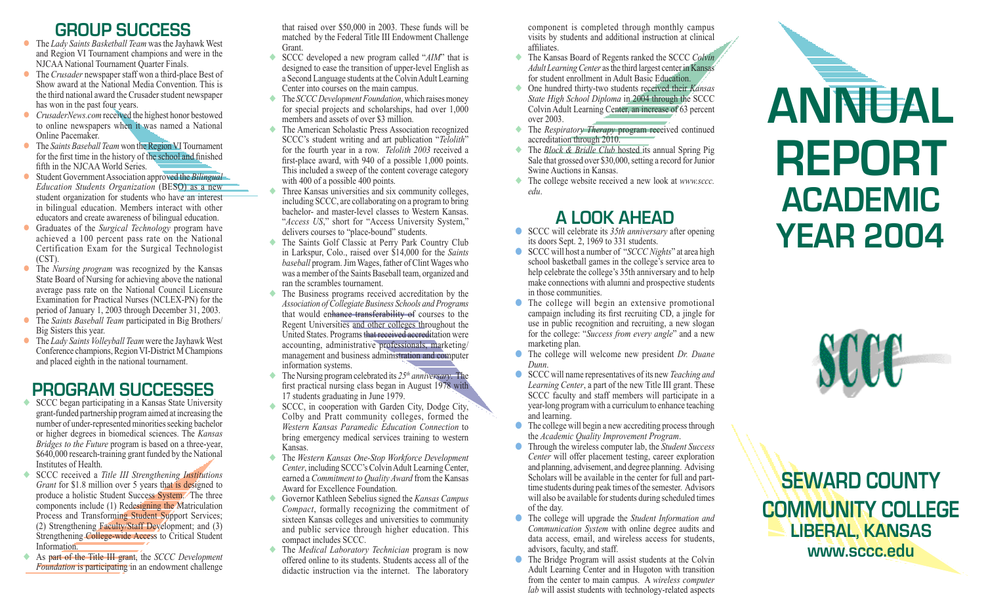# **group success**

- l The *Lady Saints Basketball Team* was the Jayhawk West and Region VI Tournament champions and were in the NJCAA National Tournament Quarter Finals.
- **IDE** The *Crusader* newspaper staff won a third-place Best of Show award at the National Media Convention. This is the third national award the Crusader student newspaper has won in the past four years.
- **CrusaderNews.com received the highest honor bestowed** to online newspapers when it was named a National Online Pacemaker.
- l The *Saints Baseball Team* won the Region VI Tournament for the first time in the history of the school and finished fifth in the NJCAA World Series.
- l Student Government Association approved the *Bilingual Education Students Organization* (BESO) as a new student organization for students who have an interest in bilingual education. Members interact with other educators and create awareness of bilingual education.
- l Graduates of the *Surgical Technology* program have achieved a 100 percent pass rate on the National Certification Exam for the Surgical Technologist (CST).
- **•** The *Nursing program* was recognized by the Kansas State Board of Nursing for achieving above the national average pass rate on the National Council Licensure Examination for Practical Nurses (NCLEX-PN) for the period of January 1, 2003 through December 31, 2003.
- l The *Saints Baseball Team* participated in Big Brothers/ Big Sisters this year.
- l The *Lady Saints Volleyball Team* were the Jayhawk West Conference champions, Region VI-District M Champions and placed eighth in the national tournament.

# **program successes**

- ◆ SCCC began participating in a Kansas State University grant-funded partnership program aimed at increasing the number of under-represented minorities seeking bachelor or higher degrees in biomedical sciences. The *Kansas Bridges to the Future* program is based on a three-year, \$640,000 research-training grant funded by the National Institutes of Health
- ◆ SCCC received a *Title III Strengthening Institutions Grant* for \$1.8 million over 5 years that is designed to produce a holistic Student Success System. The three components include (1) Redesigning the Matriculation Process and Transforming Student Support Services; (2) Strengthening Faculty/Staff Development; and (3) Strengthening College-wide Access to Critical Student Information.
- ◆ As part of the Title III grant, the *SCCC Development Foundation* is participating in an endowment challenge

that raised over \$50,000 in 2003. These funds will be matched by the Federal Title III Endowment Challenge Grant.

- ◆ SCCC developed a new program called "*AIM*" that is designed to ease the transition of upper-level English as a Second Language students at the Colvin Adult Learning Center into courses on the main campus.
- ◆ The *SCCC Development Foundation*, which raises money for special projects and scholarships, had over 1,000 members and assets of over \$3 million.
- ◆ The American Scholastic Press Association recognized SCCC's student writing and art publication "*Telolith*" for the fourth year in a row. *Telolith 2003* received a first-place award, with 940 of a possible 1,000 points. This included a sweep of the content coverage category with 400 of a possible 400 points.
- Three Kansas universities and six community colleges, including SCCC, are collaborating on a program to bring bachelor- and master-level classes to Western Kansas. "*Access US*," short for "Access University System," delivers courses to "place-bound" students.
- ◆ The Saints Golf Classic at Perry Park Country Club in Larkspur, Colo., raised over \$14,000 for the *Saints baseball* program. Jim Wages, father of Clint Wages who was a member of the Saints Baseball team, organized and ran the scrambles tournament.
- ◆ The Business programs received accreditation by the *Association of Collegiate Business Schools and Programs*  that would enhance transferability of courses to the Regent Universities and other colleges throughout the United States. Programs that received accreditation were accounting, administrative professionals, marketing/ management and business administration and computer information systems.
- $\blacklozenge$  The Nursing program celebrated its  $25<sup>th</sup>$  anniversary. The first practical nursing class began in August 1978 with 17 students graduating in June 1979.
- ◆ SCCC, in cooperation with Garden City, Dodge City, Colby and Pratt community colleges, formed the *Western Kansas Paramedic Education Connection* to bring emergency medical services training to western Kansas.
- ◆ The *Western Kansas One-Stop Workforce Development Center*, including SCCC's Colvin Adult Learning Center, earned a *Commitment to Quality Award* from the Kansas Award for Excellence Foundation.
- ◆ Governor Kathleen Sebelius signed the *Kansas Campus Compact*, formally recognizing the commitment of sixteen Kansas colleges and universities to community and public service through higher education. This compact includes SCCC.
- ◆ The *Medical Laboratory Technician* program is now offered online to its students. Students access all of the didactic instruction via the internet. The laboratory

component is completed through monthly campus visits by students and additional instruction at clinical affiliates.

- ◆ The Kansas Board of Regents ranked the SCCC *Colvin Adult Learning Center* as the third largest center in Kansas for student enrollment in Adult Basic Education.
- ◆ One hundred thirty-two students received their *Kansas State High School Diploma* in 2004 through the SCCC Colvin Adult Learning Center, an increase of 63 percent over 2003.
- ◆ The *Respiratory Therapy* program received continued accreditation through 2010.
- ◆ The *Block & Bridle Club* hosted its annual Spring Pig Sale that grossed over \$30,000, setting a record for Junior Swine Auctions in Kansas.
- ◆ The college website received a new look at *www.sccc. edu*.

# **a look ahead**

- SCCC will celebrate its 35th anniversary after opening its doors Sept. 2, 1969 to 331 students.
- **SCCC** will host a number of "*SCCC Nights*" at area high school basketball games in the college's service area to help celebrate the college's 35th anniversary and to help make connections with alumni and prospective students in those communities.
- **•** The college will begin an extensive promotional campaign including its first recruiting CD, a jingle for use in public recognition and recruiting, a new slogan for the college: "*Success from every angle*" and a new marketing plan.
- ● The college will welcome new president *Dr. Duane Dunn*.
- ● SCCC will name representatives of its new *Teaching and Learning Center*, a part of the new Title III grant. These SCCC faculty and staff members will participate in a year-long program with a curriculum to enhance teaching and learning.
- $\bullet$  The college will begin a new accrediting process through the *Academic Quality Improvement Program*.
- ● Through the wireless computer lab, the *Student Success Center* will offer placement testing, career exploration and planning, advisement, and degree planning. Advising Scholars will be available in the center for full and parttime students during peak times of the semester. Advisors will also be available for students during scheduled times of the day.
- ● The college will upgrade the *Student Information and Communication System* with online degree audits and data access, email, and wireless access for students, advisors, faculty, and staff.
- The Bridge Program will assist students at the Colvin Adult Learning Center and in Hugoton with transition from the center to main campus. A *wireless computer lab* will assist students with technology-related aspects